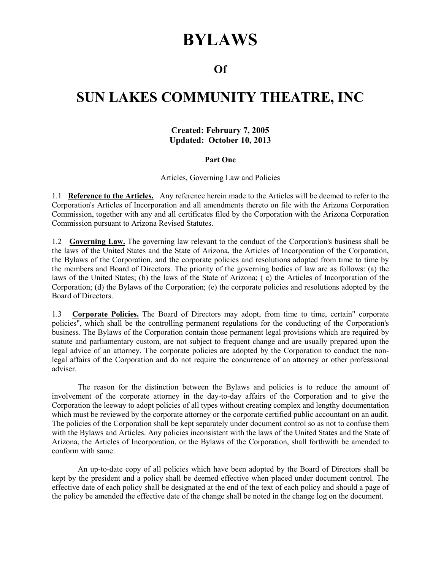# **BYLAWS**

### **Of**

## **SUN LAKES COMMUNITY THEATRE, INC**

#### **Created: February 7, 2005 Updated: October 10, 2013**

#### **Part One**

Articles, Governing Law and Policies

1.1 **Reference to the Articles.** Any reference herein made to the Articles will be deemed to refer to the Corporation's Articles of Incorporation and all amendments thereto on file with the Arizona Corporation Commission, together with any and all certificates filed by the Corporation with the Arizona Corporation Commission pursuant to Arizona Revised Statutes.

1.2 **Governing Law.** The governing law relevant to the conduct of the Corporation's business shall be the laws of the United States and the State of Arizona, the Articles of Incorporation of the Corporation, the Bylaws of the Corporation, and the corporate policies and resolutions adopted from time to time by the members and Board of Directors. The priority of the governing bodies of law are as follows: (a) the laws of the United States; (b) the laws of the State of Arizona; ( c) the Articles of Incorporation of the Corporation; (d) the Bylaws of the Corporation; (e) the corporate policies and resolutions adopted by the Board of Directors.

1.3 **Corporate Policies.** The Board of Directors may adopt, from time to time, certain" corporate policies", which shall be the controlling permanent regulations for the conducting of the Corporation's business. The Bylaws of the Corporation contain those permanent legal provisions which are required by statute and parliamentary custom, are not subject to frequent change and are usually prepared upon the legal advice of an attorney. The corporate policies are adopted by the Corporation to conduct the nonlegal affairs of the Corporation and do not require the concurrence of an attorney or other professional adviser.

 The reason for the distinction between the Bylaws and policies is to reduce the amount of involvement of the corporate attorney in the day-to-day affairs of the Corporation and to give the Corporation the leeway to adopt policies of all types without creating complex and lengthy documentation which must be reviewed by the corporate attorney or the corporate certified public accountant on an audit. The policies of the Corporation shall be kept separately under document control so as not to confuse them with the Bylaws and Articles. Any policies inconsistent with the laws of the United States and the State of Arizona, the Articles of Incorporation, or the Bylaws of the Corporation, shall forthwith be amended to conform with same.

 An up-to-date copy of all policies which have been adopted by the Board of Directors shall be kept by the president and a policy shall be deemed effective when placed under document control. The effective date of each policy shall be designated at the end of the text of each policy and should a page of the policy be amended the effective date of the change shall be noted in the change log on the document.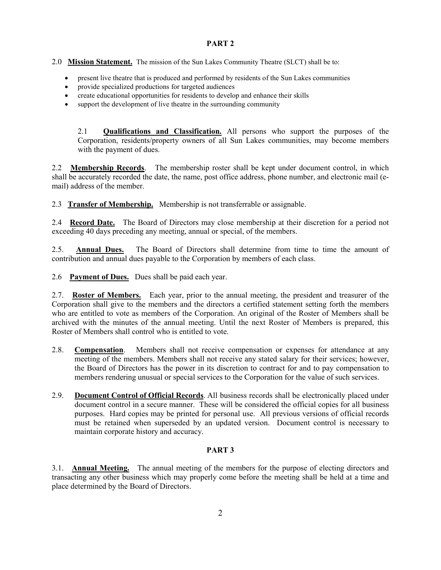#### **PART 2**

#### 2.0 **Mission Statement.** The mission of the Sun Lakes Community Theatre (SLCT) shall be to:

- present live theatre that is produced and performed by residents of the Sun Lakes communities
- provide specialized productions for targeted audiences
- create educational opportunities for residents to develop and enhance their skills
- support the development of live theatre in the surrounding community

2.1 **Qualifications and Classification.** All persons who support the purposes of the Corporation, residents/property owners of all Sun Lakes communities, may become members with the payment of dues.

2.2 **Membership Records**. The membership roster shall be kept under document control, in which shall be accurately recorded the date, the name, post office address, phone number, and electronic mail (email) address of the member.

2.3 **Transfer of Membership.** Membership is not transferrable or assignable.

2.4 **Record Date.** The Board of Directors may close membership at their discretion for a period not exceeding 40 days preceding any meeting, annual or special, of the members.

2.5. **Annual Dues.** The Board of Directors shall determine from time to time the amount of contribution and annual dues payable to the Corporation by members of each class.

2.6 **Payment of Dues.** Dues shall be paid each year.

2.7. **Roster of Members.** Each year, prior to the annual meeting, the president and treasurer of the Corporation shall give to the members and the directors a certified statement setting forth the members who are entitled to vote as members of the Corporation. An original of the Roster of Members shall be archived with the minutes of the annual meeting. Until the next Roster of Members is prepared, this Roster of Members shall control who is entitled to vote.

- 2.8. **Compensation**. Members shall not receive compensation or expenses for attendance at any meeting of the members. Members shall not receive any stated salary for their services; however, the Board of Directors has the power in its discretion to contract for and to pay compensation to members rendering unusual or special services to the Corporation for the value of such services.
- 2.9. **Document Control of Official Records**. All business records shall be electronically placed under document control in a secure manner. These will be considered the official copies for all business purposes. Hard copies may be printed for personal use. All previous versions of official records must be retained when superseded by an updated version. Document control is necessary to maintain corporate history and accuracy.

#### **PART 3**

3.1. **Annual Meeting.** The annual meeting of the members for the purpose of electing directors and transacting any other business which may properly come before the meeting shall be held at a time and place determined by the Board of Directors.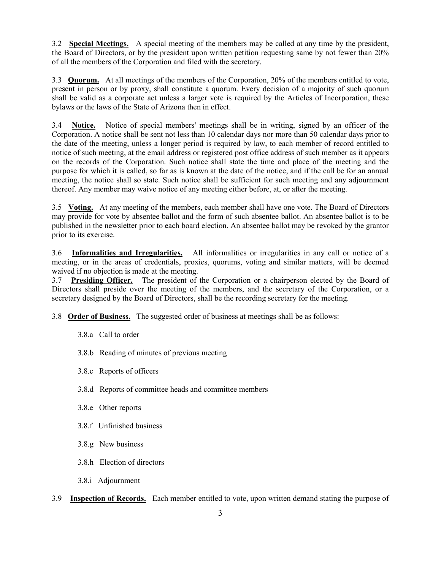3.2 **Special Meetings.** A special meeting of the members may be called at any time by the president, the Board of Directors, or by the president upon written petition requesting same by not fewer than 20% of all the members of the Corporation and filed with the secretary.

3.3 **Quorum.** At all meetings of the members of the Corporation, 20% of the members entitled to vote, present in person or by proxy, shall constitute a quorum. Every decision of a majority of such quorum shall be valid as a corporate act unless a larger vote is required by the Articles of Incorporation, these bylaws or the laws of the State of Arizona then in effect.

3.4 **Notice.** Notice of special members' meetings shall be in writing, signed by an officer of the Corporation. A notice shall be sent not less than 10 calendar days nor more than 50 calendar days prior to the date of the meeting, unless a longer period is required by law, to each member of record entitled to notice of such meeting, at the email address or registered post office address of such member as it appears on the records of the Corporation. Such notice shall state the time and place of the meeting and the purpose for which it is called, so far as is known at the date of the notice, and if the call be for an annual meeting, the notice shall so state. Such notice shall be sufficient for such meeting and any adjournment thereof. Any member may waive notice of any meeting either before, at, or after the meeting.

3.5 **Voting.** At any meeting of the members, each member shall have one vote. The Board of Directors may provide for vote by absentee ballot and the form of such absentee ballot. An absentee ballot is to be published in the newsletter prior to each board election. An absentee ballot may be revoked by the grantor prior to its exercise.

3.6 **Informalities and Irregularities.** All informalities or irregularities in any call or notice of a meeting, or in the areas of credentials, proxies, quorums, voting and similar matters, will be deemed waived if no objection is made at the meeting.

3.7 **Presiding Officer.** The president of the Corporation or a chairperson elected by the Board of Directors shall preside over the meeting of the members, and the secretary of the Corporation, or a secretary designed by the Board of Directors, shall be the recording secretary for the meeting.

3.8 **Order of Business.** The suggested order of business at meetings shall be as follows:

- 3.8.a Call to order
- 3.8.b Reading of minutes of previous meeting
- 3.8.c Reports of officers
- 3.8.d Reports of committee heads and committee members
- 3.8.e Other reports
- 3.8.f Unfinished business
- 3.8.g New business
- 3.8.h Election of directors
- 3.8.i Adjournment
- 3.9 **Inspection of Records.** Each member entitled to vote, upon written demand stating the purpose of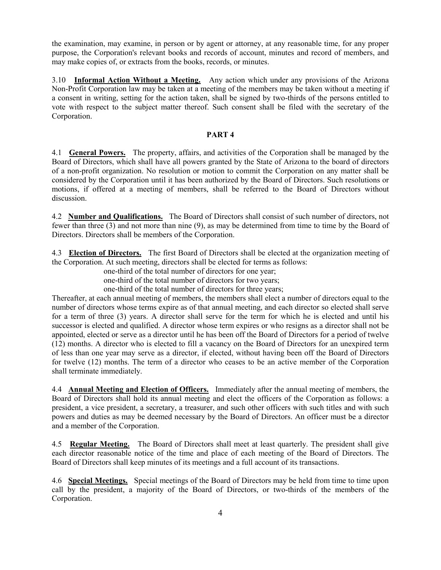the examination, may examine, in person or by agent or attorney, at any reasonable time, for any proper purpose, the Corporation's relevant books and records of account, minutes and record of members, and may make copies of, or extracts from the books, records, or minutes.

3.10 **Informal Action Without a Meeting.** Any action which under any provisions of the Arizona Non-Profit Corporation law may be taken at a meeting of the members may be taken without a meeting if a consent in writing, setting for the action taken, shall be signed by two-thirds of the persons entitled to vote with respect to the subject matter thereof. Such consent shall be filed with the secretary of the Corporation.

#### **PART 4**

4.1 **General Powers.** The property, affairs, and activities of the Corporation shall be managed by the Board of Directors, which shall have all powers granted by the State of Arizona to the board of directors of a non-profit organization. No resolution or motion to commit the Corporation on any matter shall be considered by the Corporation until it has been authorized by the Board of Directors. Such resolutions or motions, if offered at a meeting of members, shall be referred to the Board of Directors without discussion.

4.2 **Number and Qualifications.** The Board of Directors shall consist of such number of directors, not fewer than three (3) and not more than nine (9), as may be determined from time to time by the Board of Directors. Directors shall be members of the Corporation.

4.3 **Election of Directors.** The first Board of Directors shall be elected at the organization meeting of the Corporation. At such meeting, directors shall be elected for terms as follows:

one-third of the total number of directors for one year;

one-third of the total number of directors for two years;

one-third of the total number of directors for three years;

Thereafter, at each annual meeting of members, the members shall elect a number of directors equal to the number of directors whose terms expire as of that annual meeting, and each director so elected shall serve for a term of three (3) years. A director shall serve for the term for which he is elected and until his successor is elected and qualified. A director whose term expires or who resigns as a director shall not be appointed, elected or serve as a director until he has been off the Board of Directors for a period of twelve (12) months. A director who is elected to fill a vacancy on the Board of Directors for an unexpired term of less than one year may serve as a director, if elected, without having been off the Board of Directors for twelve (12) months. The term of a director who ceases to be an active member of the Corporation shall terminate immediately.

4.4 **Annual Meeting and Election of Officers.** Immediately after the annual meeting of members, the Board of Directors shall hold its annual meeting and elect the officers of the Corporation as follows: a president, a vice president, a secretary, a treasurer, and such other officers with such titles and with such powers and duties as may be deemed necessary by the Board of Directors. An officer must be a director and a member of the Corporation.

4.5 **Regular Meeting.** The Board of Directors shall meet at least quarterly. The president shall give each director reasonable notice of the time and place of each meeting of the Board of Directors. The Board of Directors shall keep minutes of its meetings and a full account of its transactions.

4.6 **Special Meetings.** Special meetings of the Board of Directors may be held from time to time upon call by the president, a majority of the Board of Directors, or two-thirds of the members of the Corporation.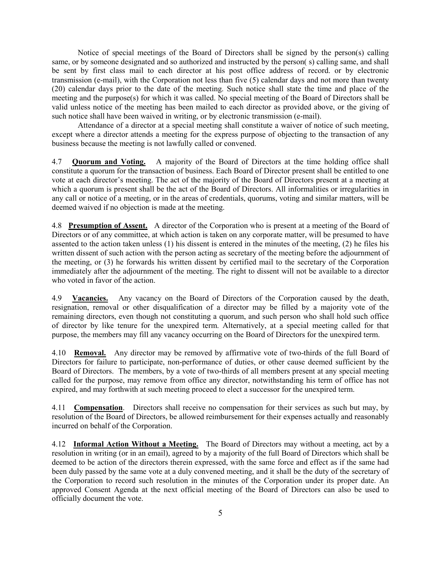Notice of special meetings of the Board of Directors shall be signed by the person(s) calling same, or by someone designated and so authorized and instructed by the person( s) calling same, and shall be sent by first class mail to each director at his post office address of record. or by electronic transmission (e-mail), with the Corporation not less than five (5) calendar days and not more than twenty (20) calendar days prior to the date of the meeting. Such notice shall state the time and place of the meeting and the purpose(s) for which it was called. No special meeting of the Board of Directors shall be valid unless notice of the meeting has been mailed to each director as provided above, or the giving of such notice shall have been waived in writing, or by electronic transmission (e-mail).

 Attendance of a director at a special meeting shall constitute a waiver of notice of such meeting, except where a director attends a meeting for the express purpose of objecting to the transaction of any business because the meeting is not lawfully called or convened.

4.7 **Quorum and Voting.** A majority of the Board of Directors at the time holding office shall constitute a quorum for the transaction of business. Each Board of Director present shall be entitled to one vote at each director's meeting. The act of the majority of the Board of Directors present at a meeting at which a quorum is present shall be the act of the Board of Directors. All informalities or irregularities in any call or notice of a meeting, or in the areas of credentials, quorums, voting and similar matters, will be deemed waived if no objection is made at the meeting.

4.8 **Presumption of Assent.** A director of the Corporation who is present at a meeting of the Board of Directors or of any committee, at which action is taken on any corporate matter, will be presumed to have assented to the action taken unless (1) his dissent is entered in the minutes of the meeting, (2) he files his written dissent of such action with the person acting as secretary of the meeting before the adjournment of the meeting, or (3) he forwards his written dissent by certified mail to the secretary of the Corporation immediately after the adjournment of the meeting. The right to dissent will not be available to a director who voted in favor of the action.

4.9 **Vacancies.** Any vacancy on the Board of Directors of the Corporation caused by the death, resignation, removal or other disqualification of a director may be filled by a majority vote of the remaining directors, even though not constituting a quorum, and such person who shall hold such office of director by like tenure for the unexpired term. Alternatively, at a special meeting called for that purpose, the members may fill any vacancy occurring on the Board of Directors for the unexpired term.

4.10 **Removal.** Any director may be removed by affirmative vote of two-thirds of the full Board of Directors for failure to participate, non-performance of duties, or other cause deemed sufficient by the Board of Directors. The members, by a vote of two-thirds of all members present at any special meeting called for the purpose, may remove from office any director, notwithstanding his term of office has not expired, and may forthwith at such meeting proceed to elect a successor for the unexpired term.

4.11 **Compensation**. Directors shall receive no compensation for their services as such but may, by resolution of the Board of Directors, be allowed reimbursement for their expenses actually and reasonably incurred on behalf of the Corporation.

4.12 **Informal Action Without a Meeting.** The Board of Directors may without a meeting, act by a resolution in writing (or in an email), agreed to by a majority of the full Board of Directors which shall be deemed to be action of the directors therein expressed, with the same force and effect as if the same had been duly passed by the same vote at a duly convened meeting, and it shall be the duty of the secretary of the Corporation to record such resolution in the minutes of the Corporation under its proper date. An approved Consent Agenda at the next official meeting of the Board of Directors can also be used to officially document the vote.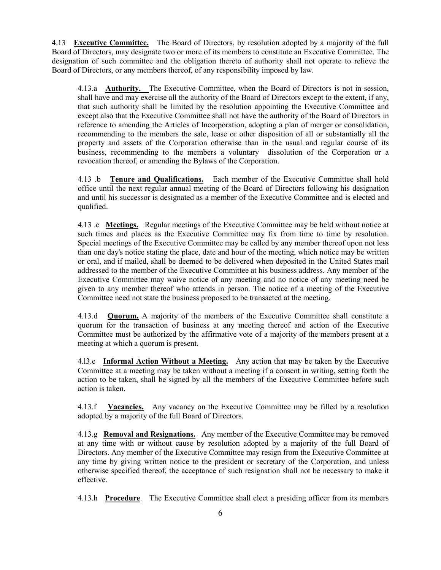4.13 **Executive Committee.** The Board of Directors, by resolution adopted by a majority of the full Board of Directors, may designate two or more of its members to constitute an Executive Committee. The designation of such committee and the obligation thereto of authority shall not operate to relieve the Board of Directors, or any members thereof, of any responsibility imposed by law.

4.13.a **Authority.** The Executive Committee, when the Board of Directors is not in session, shall have and may exercise all the authority of the Board of Directors except to the extent, if any, that such authority shall be limited by the resolution appointing the Executive Committee and except also that the Executive Committee shall not have the authority of the Board of Directors in reference to amending the Articles of Incorporation, adopting a plan of merger or consolidation, recommending to the members the sale, lease or other disposition of all or substantially all the property and assets of the Corporation otherwise than in the usual and regular course of its business, recommending to the members a voluntary dissolution of the Corporation or a revocation thereof, or amending the Bylaws of the Corporation.

4.13 .b **Tenure and Qualifications.** Each member of the Executive Committee shall hold office until the next regular annual meeting of the Board of Directors following his designation and until his successor is designated as a member of the Executive Committee and is elected and qualified.

4.13 .c **Meetings.** Regular meetings of the Executive Committee may be held without notice at such times and places as the Executive Committee may fix from time to time by resolution. Special meetings of the Executive Committee may be called by any member thereof upon not less than one day's notice stating the place, date and hour of the meeting, which notice may be written or oral, and if mailed, shall be deemed to be delivered when deposited in the United States mail addressed to the member of the Executive Committee at his business address. Any member of the Executive Committee may waive notice of any meeting and no notice of any meeting need be given to any member thereof who attends in person. The notice of a meeting of the Executive Committee need not state the business proposed to be transacted at the meeting.

4.13.d **Quorum.** A majority of the members of the Executive Committee shall constitute a quorum for the transaction of business at any meeting thereof and action of the Executive Committee must be authorized by the affirmative vote of a majority of the members present at a meeting at which a quorum is present.

4.l3.e **Informal Action Without a Meeting.** Any action that may be taken by the Executive Committee at a meeting may be taken without a meeting if a consent in writing, setting forth the action to be taken, shall be signed by all the members of the Executive Committee before such action is taken.

4.13.f **Vacancies.** Any vacancy on the Executive Committee may be filled by a resolution adopted by a majority of the full Board of Directors.

4.13.g **Removal and Resignations.** Any member of the Executive Committee may be removed at any time with or without cause by resolution adopted by a majority of the full Board of Directors. Any member of the Executive Committee may resign from the Executive Committee at any time by giving written notice to the president or secretary of the Corporation, and unless otherwise specified thereof, the acceptance of such resignation shall not be necessary to make it effective.

4.13.h **Procedure**. The Executive Committee shall elect a presiding officer from its members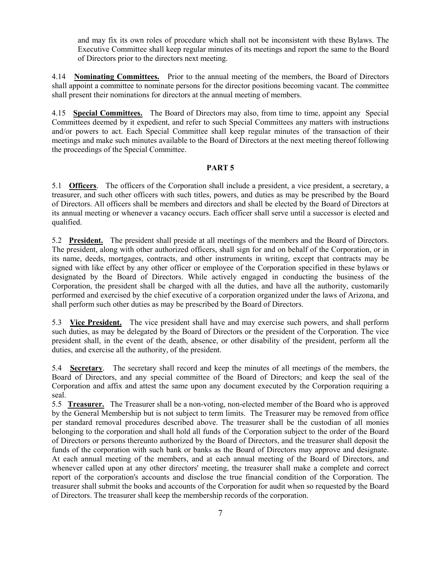and may fix its own roles of procedure which shall not be inconsistent with these Bylaws. The Executive Committee shall keep regular minutes of its meetings and report the same to the Board of Directors prior to the directors next meeting.

4.14 **Nominating Committees.** Prior to the annual meeting of the members, the Board of Directors shall appoint a committee to nominate persons for the director positions becoming vacant. The committee shall present their nominations for directors at the annual meeting of members.

4.15 **Special Committees.** The Board of Directors may also, from time to time, appoint any Special Committees deemed by it expedient, and refer to such Special Committees any matters with instructions and/or powers to act. Each Special Committee shall keep regular minutes of the transaction of their meetings and make such minutes available to the Board of Directors at the next meeting thereof following the proceedings of the Special Committee.

#### **PART 5**

5.1 **Officers**. The officers of the Corporation shall include a president, a vice president, a secretary, a treasurer, and such other officers with such titles, powers, and duties as may be prescribed by the Board of Directors. All officers shall be members and directors and shall be elected by the Board of Directors at its annual meeting or whenever a vacancy occurs. Each officer shall serve until a successor is elected and qualified.

5.2 **President.** The president shall preside at all meetings of the members and the Board of Directors. The president, along with other authorized officers, shall sign for and on behalf of the Corporation, or in its name, deeds, mortgages, contracts, and other instruments in writing, except that contracts may be signed with like effect by any other officer or employee of the Corporation specified in these bylaws or designated by the Board of Directors. While actively engaged in conducting the business of the Corporation, the president shall be charged with all the duties, and have all the authority, customarily performed and exercised by the chief executive of a corporation organized under the laws of Arizona, and shall perform such other duties as may be prescribed by the Board of Directors.

5.3 **Vice President.** The vice president shall have and may exercise such powers, and shall perform such duties, as may be delegated by the Board of Directors or the president of the Corporation. The vice president shall, in the event of the death, absence, or other disability of the president, perform all the duties, and exercise all the authority, of the president.

5.4 **Secretary**. The secretary shall record and keep the minutes of all meetings of the members, the Board of Directors, and any special committee of the Board of Directors; and keep the seal of the Corporation and affix and attest the same upon any document executed by the Corporation requiring a seal.

5.5 **Treasurer.** The Treasurer shall be a non-voting, non-elected member of the Board who is approved by the General Membership but is not subject to term limits. The Treasurer may be removed from office per standard removal procedures described above. The treasurer shall be the custodian of all monies belonging to the corporation and shall hold all funds of the Corporation subject to the order of the Board of Directors or persons thereunto authorized by the Board of Directors, and the treasurer shall deposit the funds of the corporation with such bank or banks as the Board of Directors may approve and designate. At each annual meeting of the members, and at each annual meeting of the Board of Directors, and whenever called upon at any other directors' meeting, the treasurer shall make a complete and correct report of the corporation's accounts and disclose the true financial condition of the Corporation. The treasurer shall submit the books and accounts of the Corporation for audit when so requested by the Board of Directors. The treasurer shall keep the membership records of the corporation.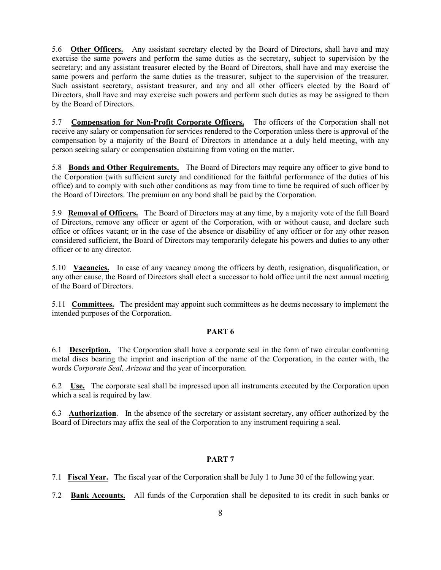5.6 **Other Officers.** Any assistant secretary elected by the Board of Directors, shall have and may exercise the same powers and perform the same duties as the secretary, subject to supervision by the secretary; and any assistant treasurer elected by the Board of Directors, shall have and may exercise the same powers and perform the same duties as the treasurer, subject to the supervision of the treasurer. Such assistant secretary, assistant treasurer, and any and all other officers elected by the Board of Directors, shall have and may exercise such powers and perform such duties as may be assigned to them by the Board of Directors.

5.7 **Compensation for Non-Profit Corporate Officers.** The officers of the Corporation shall not receive any salary or compensation for services rendered to the Corporation unless there is approval of the compensation by a majority of the Board of Directors in attendance at a duly held meeting, with any person seeking salary or compensation abstaining from voting on the matter.

5.8 **Bonds and Other Requirements.** The Board of Directors may require any officer to give bond to the Corporation (with sufficient surety and conditioned for the faithful performance of the duties of his office) and to comply with such other conditions as may from time to time be required of such officer by the Board of Directors. The premium on any bond shall be paid by the Corporation.

5.9 **Removal of Officers.** The Board of Directors may at any time, by a majority vote of the full Board of Directors, remove any officer or agent of the Corporation, with or without cause, and declare such office or offices vacant; or in the case of the absence or disability of any officer or for any other reason considered sufficient, the Board of Directors may temporarily delegate his powers and duties to any other officer or to any director.

5.10 **Vacancies.** In case of any vacancy among the officers by death, resignation, disqualification, or any other cause, the Board of Directors shall elect a successor to hold office until the next annual meeting of the Board of Directors.

5.11 **Committees.** The president may appoint such committees as he deems necessary to implement the intended purposes of the Corporation.

#### **PART 6**

6.1 **Description.** The Corporation shall have a corporate seal in the form of two circular conforming metal discs bearing the imprint and inscription of the name of the Corporation, in the center with, the words *Corporate Seal, Arizona* and the year of incorporation.

6.2 **Use.** The corporate seal shall be impressed upon all instruments executed by the Corporation upon which a seal is required by law.

6.3 **Authorization**. In the absence of the secretary or assistant secretary, any officer authorized by the Board of Directors may affix the seal of the Corporation to any instrument requiring a seal.

#### **PART 7**

- 7.1 **Fiscal Year.** The fiscal year of the Corporation shall be July 1 to June 30 of the following year.
- 7.2 **Bank Accounts.** All funds of the Corporation shall be deposited to its credit in such banks or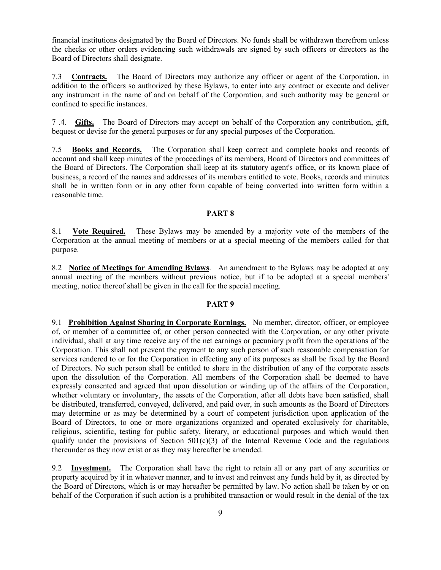financial institutions designated by the Board of Directors. No funds shall be withdrawn therefrom unless the checks or other orders evidencing such withdrawals are signed by such officers or directors as the Board of Directors shall designate.

7.3 **Contracts.** The Board of Directors may authorize any officer or agent of the Corporation, in addition to the officers so authorized by these Bylaws, to enter into any contract or execute and deliver any instrument in the name of and on behalf of the Corporation, and such authority may be general or confined to specific instances.

7 .4. **Gifts.** The Board of Directors may accept on behalf of the Corporation any contribution, gift, bequest or devise for the general purposes or for any special purposes of the Corporation.

7.5 **Books and Records.** The Corporation shall keep correct and complete books and records of account and shall keep minutes of the proceedings of its members, Board of Directors and committees of the Board of Directors. The Corporation shall keep at its statutory agent's office, or its known place of business, a record of the names and addresses of its members entitled to vote. Books, records and minutes shall be in written form or in any other form capable of being converted into written form within a reasonable time.

#### **PART 8**

8.1 **Vote Required.** These Bylaws may be amended by a majority vote of the members of the Corporation at the annual meeting of members or at a special meeting of the members called for that purpose.

8.2 **Notice of Meetings for Amending Bylaws**. An amendment to the Bylaws may be adopted at any annual meeting of the members without previous notice, but if to be adopted at a special members' meeting, notice thereof shall be given in the call for the special meeting.

#### **PART 9**

9.1 **Prohibition Against Sharing in Corporate Earnings.** No member, director, officer, or employee of, or member of a committee of, or other person connected with the Corporation, or any other private individual, shall at any time receive any of the net earnings or pecuniary profit from the operations of the Corporation. This shall not prevent the payment to any such person of such reasonable compensation for services rendered to or for the Corporation in effecting any of its purposes as shall be fixed by the Board of Directors. No such person shall be entitled to share in the distribution of any of the corporate assets upon the dissolution of the Corporation. All members of the Corporation shall be deemed to have expressly consented and agreed that upon dissolution or winding up of the affairs of the Corporation, whether voluntary or involuntary, the assets of the Corporation, after all debts have been satisfied, shall be distributed, transferred, conveyed, delivered, and paid over, in such amounts as the Board of Directors may determine or as may be determined by a court of competent jurisdiction upon application of the Board of Directors, to one or more organizations organized and operated exclusively for charitable, religious, scientific, testing for public safety, literary, or educational purposes and which would then qualify under the provisions of Section  $501(c)(3)$  of the Internal Revenue Code and the regulations thereunder as they now exist or as they may hereafter be amended.

9.2 **Investment.** The Corporation shall have the right to retain all or any part of any securities or property acquired by it in whatever manner, and to invest and reinvest any funds held by it, as directed by the Board of Directors, which is or may hereafter be permitted by law. No action shall be taken by or on behalf of the Corporation if such action is a prohibited transaction or would result in the denial of the tax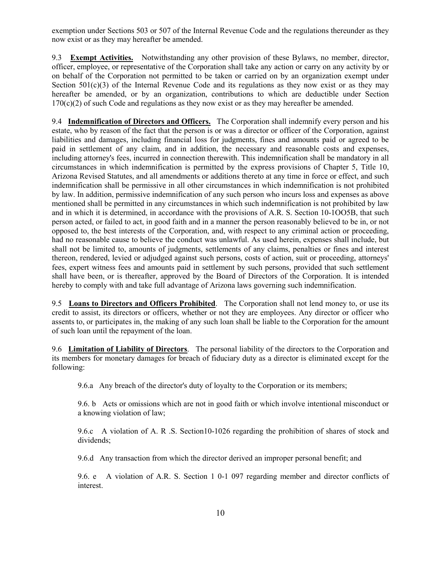exemption under Sections 503 or 507 of the Internal Revenue Code and the regulations thereunder as they now exist or as they may hereafter be amended.

9.3 **Exempt Activities.** Notwithstanding any other provision of these Bylaws, no member, director, officer, employee, or representative of the Corporation shall take any action or carry on any activity by or on behalf of the Corporation not permitted to be taken or carried on by an organization exempt under Section  $501(c)(3)$  of the Internal Revenue Code and its regulations as they now exist or as they may hereafter be amended, or by an organization, contributions to which are deductible under Section 170(c)(2) of such Code and regulations as they now exist or as they may hereafter be amended.

9.4 **Indemnification of Directors and Officers.** The Corporation shall indemnify every person and his estate, who by reason of the fact that the person is or was a director or officer of the Corporation, against liabilities and damages, including financial loss for judgments, fines and amounts paid or agreed to be paid in settlement of any claim, and in addition, the necessary and reasonable costs and expenses, including attorney's fees, incurred in connection therewith. This indemnification shall be mandatory in all circumstances in which indemnification is permitted by the express provisions of Chapter 5, Title 10, Arizona Revised Statutes, and all amendments or additions thereto at any time in force or effect, and such indemnification shall be permissive in all other circumstances in which indemnification is not prohibited by law. In addition, permissive indemnification of any such person who incurs loss and expenses as above mentioned shall be permitted in any circumstances in which such indemnification is not prohibited by law and in which it is determined, in accordance with the provisions of A.R. S. Section 10-1OO5B, that such person acted, or failed to act, in good faith and in a manner the person reasonably believed to be in, or not opposed to, the best interests of the Corporation, and, with respect to any criminal action or proceeding, had no reasonable cause to believe the conduct was unlawful. As used herein, expenses shall include, but shall not be limited to, amounts of judgments, settlements of any claims, penalties or fines and interest thereon, rendered, levied or adjudged against such persons, costs of action, suit or proceeding, attorneys' fees, expert witness fees and amounts paid in settlement by such persons, provided that such settlement shall have been, or is thereafter, approved by the Board of Directors of the Corporation. It is intended hereby to comply with and take full advantage of Arizona laws governing such indemnification.

9.5 **Loans to Directors and Officers Prohibited**. The Corporation shall not lend money to, or use its credit to assist, its directors or officers, whether or not they are employees. Any director or officer who assents to, or participates in, the making of any such loan shall be liable to the Corporation for the amount of such loan until the repayment of the loan.

9.6 **Limitation of Liability of Directors**. The personal liability of the directors to the Corporation and its members for monetary damages for breach of fiduciary duty as a director is eliminated except for the following:

9.6.a Any breach of the director's duty of loyalty to the Corporation or its members;

9.6. b Acts or omissions which are not in good faith or which involve intentional misconduct or a knowing violation of law;

9.6.c A violation of A. R .S. Section10-1026 regarding the prohibition of shares of stock and dividends;

9.6.d Any transaction from which the director derived an improper personal benefit; and

9.6. e A violation of A.R. S. Section 1 0-1 097 regarding member and director conflicts of interest.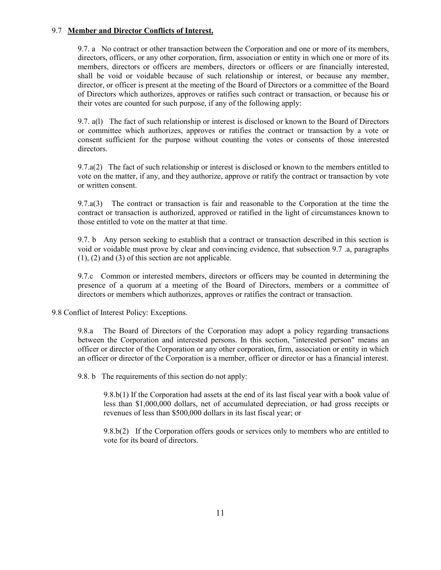#### 9.7 **Member and Director Conflicts of Interest.**

9.7. a No contract or other transaction between the Corporation and one or more of its members, directors, officers, or any other corporation, firm, association or entity in which one or more of its members, directors or officers are members, directors or officers or are financially interested, shall be void or voidable because of such relationship or interest, or because any member, director, or officer is present at the meeting of the Board of Directors or a committee of the Board of Directors which authorizes, approves or ratifies such contract or transaction, or because his or their votes are counted for such purpose, if any of the following apply:

9.7. a(l) The fact of such relationship or interest is disclosed or known to the Board of Directors or committee which authorizes, approves or ratifies the contract or transaction by a vote or consent sufficient for the purpose without counting the votes or consents of those interested directors.

9.7.a(2) The fact of such relationship or interest is disclosed or known to the members entitled to vote on the matter, if any, and they authorize, approve or ratify the contract or transaction by vote or written consent.

9.7.a(3) The contract or transaction is fair and reasonable to the Corporation at the time the contract or transaction is authorized, approved or ratified in the light of circumstances known to those entitled to vote on the matter at that time.

9.7. b Any person seeking to establish that a contract or transaction described in this section is void or voidable must prove by clear and convincing evidence, that subsection 9.7 .a, paragraphs (1), (2) and (3) of this section are not applicable.

9.7.c Common or interested members, directors or officers may be counted in determining the presence of a quorum at a meeting of the Board of Directors, members or a committee of directors or members which authorizes, approves or ratifies the contract or transaction.

9.8 Conflict of Interest Policy: Exceptions.

9.8.a The Board of Directors of the Corporation may adopt a policy regarding transactions between the Corporation and interested persons. In this section, "interested person" means an officer or director of the Corporation or any other corporation, firm, association or entity in which an officer or director of the Corporation is a member, officer or director or has a financial interest.

9.8. b The requirements of this section do not apply:

9.8.b(1) If the Corporation had assets at the end of its last fiscal year with a book value of less than \$1,000,000 dollars, net of accumulated depreciation, or had gross receipts or revenues of less than \$500,000 dollars in its last fiscal year; or

9.8.b(2) If the Corporation offers goods or services only to members who are entitled to vote for its board of directors.